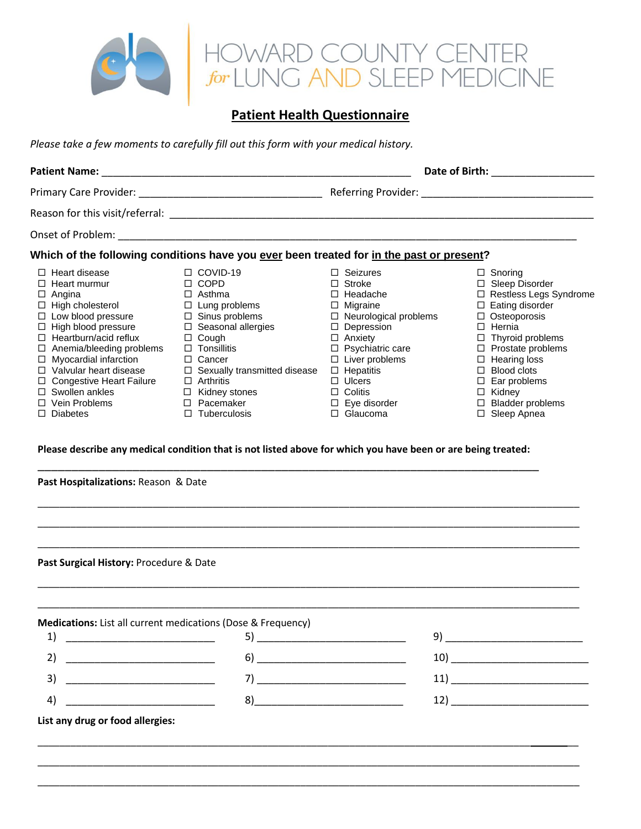

# **Patient Health Questionnaire**

*Please take a few moments to carefully fill out this form with your medical history.*

|                                                                                                                                                                                                                                                                                                                                                                                |                                                                                                                                                                                                                                                                                                                    | Date of Birth: The contract of Birth:                                                                                                                                                                                                                                                    |                                                                                                                                                                                                                                                                                                                          |  |  |
|--------------------------------------------------------------------------------------------------------------------------------------------------------------------------------------------------------------------------------------------------------------------------------------------------------------------------------------------------------------------------------|--------------------------------------------------------------------------------------------------------------------------------------------------------------------------------------------------------------------------------------------------------------------------------------------------------------------|------------------------------------------------------------------------------------------------------------------------------------------------------------------------------------------------------------------------------------------------------------------------------------------|--------------------------------------------------------------------------------------------------------------------------------------------------------------------------------------------------------------------------------------------------------------------------------------------------------------------------|--|--|
|                                                                                                                                                                                                                                                                                                                                                                                |                                                                                                                                                                                                                                                                                                                    |                                                                                                                                                                                                                                                                                          |                                                                                                                                                                                                                                                                                                                          |  |  |
|                                                                                                                                                                                                                                                                                                                                                                                |                                                                                                                                                                                                                                                                                                                    |                                                                                                                                                                                                                                                                                          |                                                                                                                                                                                                                                                                                                                          |  |  |
|                                                                                                                                                                                                                                                                                                                                                                                |                                                                                                                                                                                                                                                                                                                    |                                                                                                                                                                                                                                                                                          |                                                                                                                                                                                                                                                                                                                          |  |  |
|                                                                                                                                                                                                                                                                                                                                                                                | Which of the following conditions have you ever been treated for in the past or present?                                                                                                                                                                                                                           |                                                                                                                                                                                                                                                                                          |                                                                                                                                                                                                                                                                                                                          |  |  |
| $\Box$ Heart disease<br>$\Box$ Heart murmur<br>$\Box$ Angina<br>$\Box$ High cholesterol<br>$\Box$ Low blood pressure<br>□ High blood pressure<br>□ Hearthurn/acid reflux<br>$\Box$ Anemia/bleeding problems<br>$\Box$ Myocardial infarction<br>$\Box$ Valvular heart disease<br>□ Congestive Heart Failure<br>$\Box$ Swollen ankles<br>$\Box$ Vein Problems<br>$\Box$ Diabetes | $\Box$ COVID-19<br>$\Box$ COPD<br>$\Box$ Asthma<br>$\Box$ Lung problems<br>$\Box$ Sinus problems<br>$\Box$ Seasonal allergies<br>$\Box$ Cough<br>$\Box$ Tonsillitis<br>$\Box$ Cancer<br>$\Box$ Sexually transmitted disease<br>$\Box$ Arthritis<br>$\Box$ Kidney stones<br>$\Box$ Pacemaker<br>$\Box$ Tuberculosis | $\Box$ Seizures<br>$\Box$ Stroke<br>$\Box$ Headache<br>$\Box$ Migraine<br>$\Box$ Neurological problems<br>$\Box$ Depression<br>$\Box$ Anxiety<br>□ Psychiatric care<br>$\Box$ Liver problems<br>$\Box$ Hepatitis<br>$\Box$ Ulcers<br>$\Box$ Colitis<br>$\Box$ Eye disorder<br>□ Glaucoma | $\Box$ Snoring<br>□ Sleep Disorder<br>□ Restless Legs Syndrome<br>$\Box$ Eating disorder<br>$\Box$ Osteoporosis<br>$\Box$ Hernia<br>$\Box$ Thyroid problems<br>$\Box$ Prostate problems<br>$\Box$ Hearing loss<br>$\Box$ Blood clots<br>$\Box$ Ear problems<br>$\Box$ Kidney<br>$\Box$ Bladder problems<br>□ Sleep Apnea |  |  |
| Past Hospitalizations: Reason & Date                                                                                                                                                                                                                                                                                                                                           | Please describe any medical condition that is not listed above for which you have been or are being treated:                                                                                                                                                                                                       |                                                                                                                                                                                                                                                                                          |                                                                                                                                                                                                                                                                                                                          |  |  |
| Past Surgical History: Procedure & Date                                                                                                                                                                                                                                                                                                                                        |                                                                                                                                                                                                                                                                                                                    |                                                                                                                                                                                                                                                                                          |                                                                                                                                                                                                                                                                                                                          |  |  |

| $\begin{tabular}{c} 1) \end{tabular}$                |    | -9)                                                                                                                          |
|------------------------------------------------------|----|------------------------------------------------------------------------------------------------------------------------------|
|                                                      |    | 10)<br><u> 1989 - John Harry Harry Harry Harry Harry Harry Harry Harry Harry Harry Harry Harry Harry Harry Harry Harry H</u> |
|                                                      |    |                                                                                                                              |
| <u> 1980 - Jan Barnett, fransk politik (d. 1980)</u> | 8) | 12)<br><u> 1980 - Jan Barbara Barbara, manazarta </u>                                                                        |

\_\_\_\_\_\_\_\_\_\_\_\_\_\_\_\_\_\_\_\_\_\_\_\_\_\_\_\_\_\_\_\_\_\_\_\_\_\_\_\_\_\_\_\_\_\_\_\_\_\_\_\_\_\_\_\_\_\_\_\_\_\_\_\_\_\_\_\_\_\_\_\_\_\_\_\_\_\_\_\_\_\_\_\_\_\_\_\_\_\_ \_\_ \_\_\_\_\_\_\_\_\_\_\_\_\_\_\_\_\_\_\_\_\_\_\_\_\_\_\_\_\_\_\_\_\_\_\_\_\_\_\_\_\_\_\_\_\_\_\_\_\_\_\_\_\_\_\_\_\_\_\_\_\_\_\_\_\_\_\_\_\_\_\_\_\_\_\_\_\_\_\_\_\_\_\_\_\_\_\_\_\_\_\_\_\_\_\_\_\_\_\_ \_\_\_\_\_\_\_\_\_\_\_\_\_\_\_\_\_\_\_\_\_\_\_\_\_\_\_\_\_\_\_\_\_\_\_\_\_\_\_\_\_\_\_\_\_\_\_\_\_\_\_\_\_\_\_\_\_\_\_\_\_\_\_\_\_\_\_\_\_\_\_\_\_\_\_\_\_\_\_\_\_\_\_\_\_\_\_\_\_\_\_\_\_\_\_\_\_\_\_

\_\_\_\_\_\_\_\_\_\_\_\_\_\_\_\_\_\_\_\_\_\_\_\_\_\_\_\_\_\_\_\_\_\_\_\_\_\_\_\_\_\_\_\_\_\_\_\_\_\_\_\_\_\_\_\_\_\_\_\_\_\_\_\_\_\_\_\_\_\_\_\_\_\_\_\_\_\_\_\_\_\_\_\_\_\_\_\_\_\_\_\_\_\_\_\_\_\_\_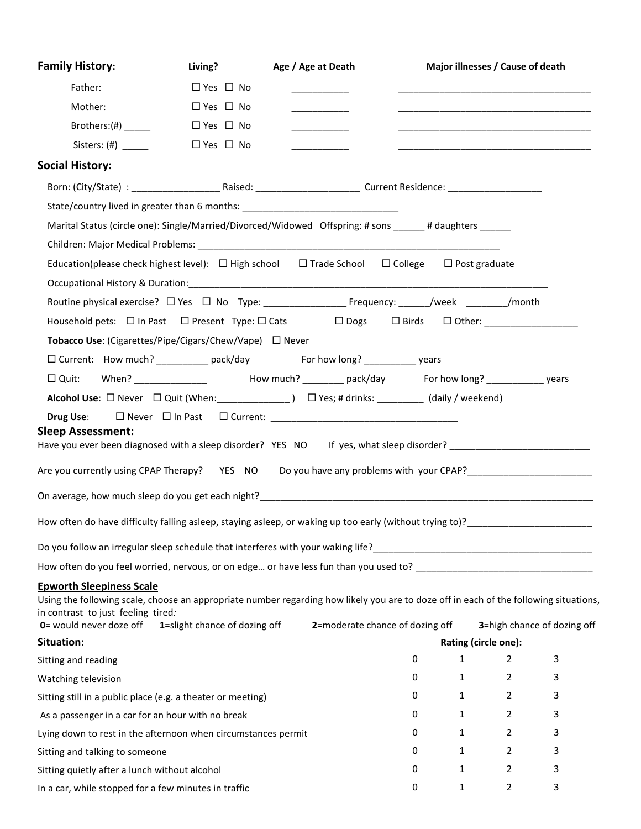| <b>Family History:</b>                                                                                                                                                                                                                    | Living?              |                               | Age / Age at Death               |   |                      | Major illnesses / Cause of death                                                                                      |   |
|-------------------------------------------------------------------------------------------------------------------------------------------------------------------------------------------------------------------------------------------|----------------------|-------------------------------|----------------------------------|---|----------------------|-----------------------------------------------------------------------------------------------------------------------|---|
| Father:                                                                                                                                                                                                                                   | $\Box$ Yes $\Box$ No |                               | __________                       |   |                      |                                                                                                                       |   |
| Mother:                                                                                                                                                                                                                                   | $\Box$ Yes $\Box$ No |                               | ____________                     |   |                      | <u> 1989 - Johann Harry Harry Harry Harry Harry Harry Harry Harry Harry Harry Harry Harry Harry Harry Harry Harry</u> |   |
| Brothers: $(\#)$ ________                                                                                                                                                                                                                 | $\Box$ Yes $\Box$ No |                               | <u> 1999 - Johann John Barns</u> |   |                      | <u> 1989 - Johann Barbara, martin amerikan basar dan berasal dan berasal dalam basar dalam basar dalam basar dala</u> |   |
|                                                                                                                                                                                                                                           | $\Box$ Yes $\Box$ No |                               | _________                        |   |                      |                                                                                                                       |   |
| <b>Social History:</b>                                                                                                                                                                                                                    |                      |                               |                                  |   |                      |                                                                                                                       |   |
|                                                                                                                                                                                                                                           |                      |                               |                                  |   |                      |                                                                                                                       |   |
| State/country lived in greater than 6 months: __________________________________                                                                                                                                                          |                      |                               |                                  |   |                      |                                                                                                                       |   |
| Marital Status (circle one): Single/Married/Divorced/Widowed Offspring: # sons _____# daughters _____                                                                                                                                     |                      |                               |                                  |   |                      |                                                                                                                       |   |
|                                                                                                                                                                                                                                           |                      |                               |                                  |   |                      |                                                                                                                       |   |
| Education(please check highest level): $\Box$ High school $\Box$ Trade School $\Box$ College $\Box$ Post graduate                                                                                                                         |                      |                               |                                  |   |                      |                                                                                                                       |   |
|                                                                                                                                                                                                                                           |                      |                               |                                  |   |                      |                                                                                                                       |   |
|                                                                                                                                                                                                                                           |                      |                               |                                  |   |                      |                                                                                                                       |   |
| Household pets: □ In Past □ Present Type: □ Cats □ Dogs □ Birds □ Other: ______________                                                                                                                                                   |                      |                               |                                  |   |                      |                                                                                                                       |   |
| Tobacco Use: (Cigarettes/Pipe/Cigars/Chew/Vape) □ Never                                                                                                                                                                                   |                      |                               |                                  |   |                      |                                                                                                                       |   |
| □ Current: How much? ___________ pack/day For how long? ___________ years                                                                                                                                                                 |                      |                               |                                  |   |                      |                                                                                                                       |   |
| □ Quit: When? ______________ How much? _______ pack/day For how long? __________ years                                                                                                                                                    |                      |                               |                                  |   |                      |                                                                                                                       |   |
| Alcohol Use: □ Never □ Quit (When: _______________) □ Yes; # drinks: _________ (daily / weekend)                                                                                                                                          |                      |                               |                                  |   |                      |                                                                                                                       |   |
| <b>Sleep Assessment:</b><br>Have you ever been diagnosed with a sleep disorder? YES NO If yes, what sleep disorder? ____________________________<br>Are you currently using CPAP Therapy? YES NO Do you have any problems with your CPAP? |                      |                               |                                  |   |                      |                                                                                                                       |   |
|                                                                                                                                                                                                                                           |                      |                               |                                  |   |                      |                                                                                                                       |   |
| How often do have difficulty falling asleep, staying asleep, or waking up too early (without trying to)?                                                                                                                                  |                      |                               |                                  |   |                      |                                                                                                                       |   |
|                                                                                                                                                                                                                                           |                      |                               |                                  |   |                      |                                                                                                                       |   |
| How often do you feel worried, nervous, or on edge or have less fun than you used to?                                                                                                                                                     |                      |                               |                                  |   |                      |                                                                                                                       |   |
| <b>Epworth Sleepiness Scale</b><br>Using the following scale, choose an appropriate number regarding how likely you are to doze off in each of the following situations,<br>in contrast to just feeling tired:<br>0= would never doze off |                      | 1=slight chance of dozing off | 2=moderate chance of dozing off  |   |                      | 3=high chance of dozing off                                                                                           |   |
| Situation:                                                                                                                                                                                                                                |                      |                               |                                  |   | Rating (circle one): |                                                                                                                       |   |
| Sitting and reading                                                                                                                                                                                                                       |                      |                               |                                  | 0 | $\mathbf{1}$         | $\overline{2}$                                                                                                        | 3 |
| Watching television                                                                                                                                                                                                                       |                      |                               |                                  | 0 | $\mathbf{1}$         | $\mathbf{2}$                                                                                                          | 3 |
| Sitting still in a public place (e.g. a theater or meeting)                                                                                                                                                                               |                      |                               |                                  | 0 | $\mathbf{1}$         | $\mathbf{2}^{\prime}$                                                                                                 | 3 |
| As a passenger in a car for an hour with no break                                                                                                                                                                                         |                      |                               |                                  | 0 | $\mathbf{1}$         | $\overline{2}$                                                                                                        | 3 |
| Lying down to rest in the afternoon when circumstances permit                                                                                                                                                                             |                      |                               |                                  | 0 | 1                    | $\overline{2}$                                                                                                        | 3 |
| Sitting and talking to someone                                                                                                                                                                                                            |                      |                               |                                  | 0 | 1                    | 2                                                                                                                     | 3 |
| Sitting quietly after a lunch without alcohol                                                                                                                                                                                             |                      |                               |                                  | 0 | $\mathbf{1}$         | $\overline{2}$                                                                                                        | 3 |
| In a car, while stopped for a few minutes in traffic                                                                                                                                                                                      |                      |                               |                                  | 0 | $\mathbf{1}$         | 2                                                                                                                     | 3 |